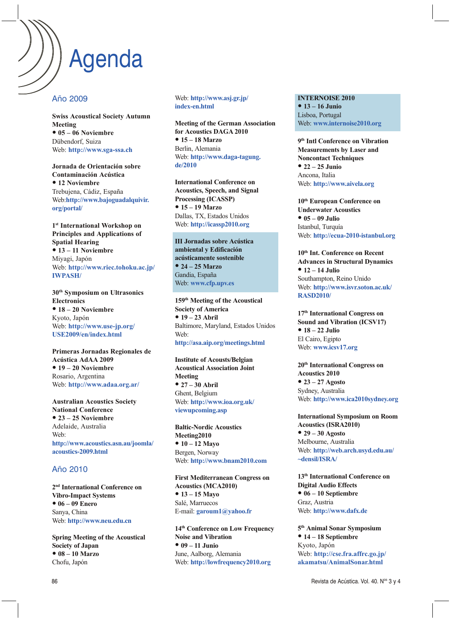# Agenda

### Año 2009

**Swiss Acoustical Society Autumn Meeting** ● **05 – 06 Noviembre** Dübendorf, Suiza Web: **http://www.sga-ssa.ch**

**Jornada de Orientación sobre Contaminación Acústica** ● **12 Noviembre** Trebujena, Cádiz, España Web:**http://www.bajoguadalquivir. org/portal/**

**1st International Workshop on Principles and Applications of Spatial Hearing** ● **13 – 11 Noviembre** Miyagi, Japón Web: **http://www.riec.tohoku.ac.jp/ IWPASH/**

**30th Symposium on Ultrasonics Electronics** ● **18 – 20 Noviembre** Kyoto, Japón Web: **http://www.use-jp.org/ USE2009/en/index.html**

**Primeras Jornadas Regionales de Acústica AdAA 2009** ● **19 – 20 Noviembre** Rosario, Argentina Web: **http://www.adaa.org.ar/**

**Australian Acoustics Society National Conference** ● **23 – 25 Noviembre** Adelaide, Australia Web: **http://www.acoustics.asn.au/joomla/ acoustics-2009.html**

## Año 2010

**2nd International Conference on Vibro-Impact Systems** ● **06 – 09 Enero** Sanya, China Web: **http://www.neu.edu.cn**

**Spring Meeting of the Acoustical Society of Japan** ● **08 – 10 Marzo** Chofu, Japón

Web: **http://www.asj.gr.jp/ index-en.html**

**Meeting of the German Association for Acoustics DAGA 2010** ● **15 – 18 Marzo** Berlin, Alemania Web: **http://www.daga-tagung. de/2010**

**International Conference on Acoustics, Speech, and Signal Processing (ICASSP)** ● **15 – 19 Marzo** Dallas, TX, Estados Unidos Web: **http://icassp2010.org**

**III Jornadas sobre Acústica ambiental y Edificación acústicamente sostenible** ● **24 – 25 Marzo** Gandia, España Web: **www.cfp.upv.es**

**159th Meeting of the Acoustical Society of America** ● **19 – 23 Abril** Baltimore, Maryland, Estados Unidos Web:

#### **http://asa.aip.org/meetings.html**

**Institute of Acousts/Belgian Acoustical Association Joint Meeting** ● **27 – 30 Abril** Ghent, Belgium Web: **http://www.ioa.org.uk/ viewupcoming.asp**

**Baltic-Nordic Acoustics Meeting2010** ● **10 – 12 Mayo** Bergen, Norway Web: **http://www.bnam2010.com**

**First Mediterranean Congress on Acoustics (MCA2010)** ● **13 – 15 Mayo** Salé, Marruecos E-mail: **garoum1@yahoo.fr**

**14th Conference on Low Frequency Noise and Vibration** ● **09 – 11 Junio** June, Aalborg, Alemania Web: **http://lowfrequency2010.org**

**INTERNOISE 2010** ● **13 – 16 Junio** Lisboa, Portugal Web: **www.internoise2010.org**

**9th Intl Conference on Vibration Measurements by Laser and Noncontact Techniques** ● **22 – 25 Junio** Ancona, Italia Web: **http://www.aivela.org**

**10th European Conference on Underwater Acoustics** ● **05 – 09 Julio** Istanbul, Turquía Web: **http://ecua-2010-istanbul.org**

**10th Int. Conference on Recent Advances in Structural Dynamics** ● **12 – 14 Julio** Southampton, Reino Unido Web: **http://www.isvr.soton.ac.uk/ RASD2010/**

**17th International Congress on Sound and Vibration (ICSV17)** ● **18 – 22 Julio** El Cairo, Egipto Web: **www.icsv17.org**

**20th International Congress on Acoustics 2010** ● **23 – 27 Agosto** Sydney, Australia Web: **http://www.ica2010sydney.org**

**International Symposium on Room Acoustics (ISRA2010)** ● **29 – 30 Agosto** Melbourne, Australia Web: **http://web.arch.usyd.edu.au/ ~densil/ISRA/**

**13th International Conference on Digital Audio Effects** ● **06 – 10 Septiembre** Graz, Austria Web: **http://www.dafx.de**

**5th Animal Sonar Symposium** ● **14 – 18 Septiembre** Kyoto, Japón Web: **http://cse.fra.affrc.go.jp/ akamatsu/AnimalSonar.html**